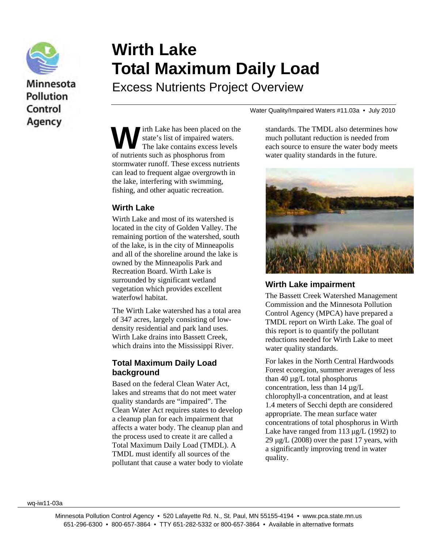

# Minnesota **Pollution** Control Agency

# **Wirth Lake Total Maximum Daily Load**

Excess Nutrients Project Overview

irth Lake has been placed on the state's list of impaired waters. The lake contains excess levels **W** state's list of impaired wate<br>of nutrients such as phosphorus from stormwater runoff. These excess nutrients can lead to frequent algae overgrowth in the lake, interfering with swimming, fishing, and other aquatic recreation.

#### **Wirth Lake**

Wirth Lake and most of its watershed is located in the city of Golden Valley. The remaining portion of the watershed, south of the lake, is in the city of Minneapolis and all of the shoreline around the lake is owned by the Minneapolis Park and Recreation Board. Wirth Lake is surrounded by significant wetland vegetation which provides excellent waterfowl habitat.

The Wirth Lake watershed has a total area of 347 acres, largely consisting of lowdensity residential and park land uses. Wirth Lake drains into Bassett Creek, which drains into the Mississippi River.

#### **Total Maximum Daily Load background**

Based on the federal Clean Water Act, lakes and streams that do not meet water quality standards are "impaired". The Clean Water Act requires states to develop a cleanup plan for each impairment that affects a water body. The cleanup plan and the process used to create it are called a Total Maximum Daily Load (TMDL). A TMDL must identify all sources of the pollutant that cause a water body to violate

Water Quality/Impaired Waters #11.03a • July 2010

standards. The TMDL also determines how much pollutant reduction is needed from each source to ensure the water body meets water quality standards in the future.



## **Wirth Lake impairment**

The Bassett Creek Watershed Management Commission and the Minnesota Pollution Control Agency (MPCA) have prepared a TMDL report on Wirth Lake. The goal of this report is to quantify the pollutant reductions needed for Wirth Lake to meet water quality standards.

For lakes in the North Central Hardwoods Forest ecoregion, summer averages of less than 40  $\mu$ g/L total phosphorus concentration, less than 14 µg/L chlorophyll-a concentration, and at least 1.4 meters of Secchi depth are considered appropriate. The mean surface water concentrations of total phosphorus in Wirth Lake have ranged from 113 μg/L (1992) to  $29 \mu g/L$  (2008) over the past 17 years, with a significantly improving trend in water quality.

wq-iw11-03a